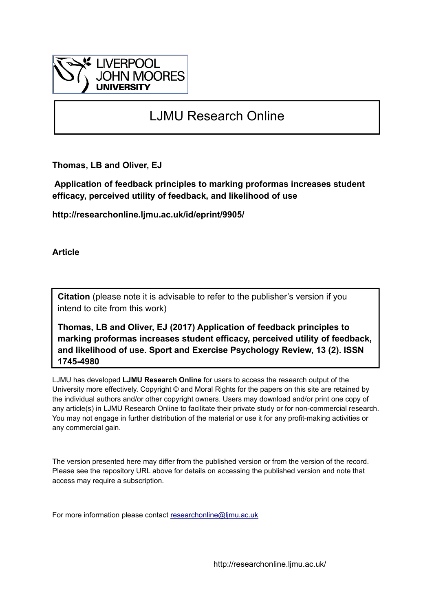

# LJMU Research Online

**Thomas, LB and Oliver, EJ**

 **Application of feedback principles to marking proformas increases student efficacy, perceived utility of feedback, and likelihood of use**

**http://researchonline.ljmu.ac.uk/id/eprint/9905/**

**Article**

**Citation** (please note it is advisable to refer to the publisher's version if you intend to cite from this work)

**Thomas, LB and Oliver, EJ (2017) Application of feedback principles to marking proformas increases student efficacy, perceived utility of feedback, and likelihood of use. Sport and Exercise Psychology Review, 13 (2). ISSN 1745-4980** 

LJMU has developed **[LJMU Research Online](http://researchonline.ljmu.ac.uk/)** for users to access the research output of the University more effectively. Copyright © and Moral Rights for the papers on this site are retained by the individual authors and/or other copyright owners. Users may download and/or print one copy of any article(s) in LJMU Research Online to facilitate their private study or for non-commercial research. You may not engage in further distribution of the material or use it for any profit-making activities or any commercial gain.

The version presented here may differ from the published version or from the version of the record. Please see the repository URL above for details on accessing the published version and note that access may require a subscription.

For more information please contact [researchonline@ljmu.ac.uk](mailto:researchonline@ljmu.ac.uk)

http://researchonline.ljmu.ac.uk/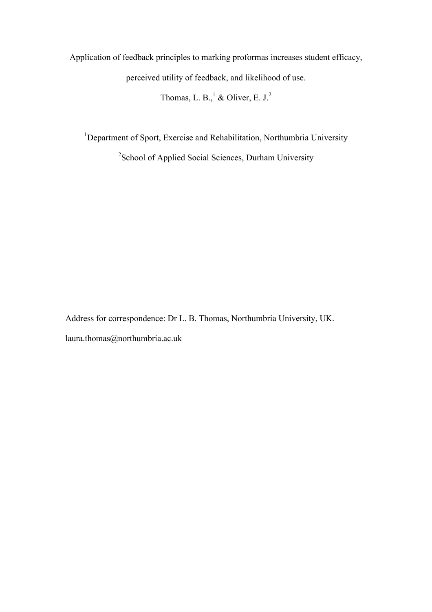Application of feedback principles to marking proformas increases student efficacy,

perceived utility of feedback, and likelihood of use.

Thomas, L. B., $<sup>1</sup>$  & Oliver, E. J.<sup>2</sup></sup>

<sup>1</sup>Department of Sport, Exercise and Rehabilitation, Northumbria University

<sup>2</sup> School of Applied Social Sciences, Durham University

Address for correspondence: Dr L. B. Thomas, Northumbria University, UK. laura.thomas@northumbria.ac.uk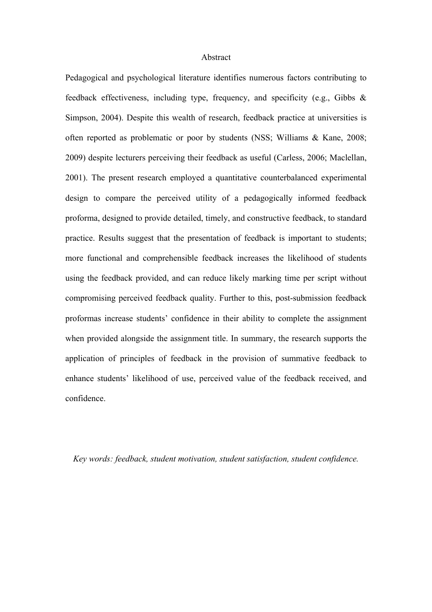# Abstract

Pedagogical and psychological literature identifies numerous factors contributing to feedback effectiveness, including type, frequency, and specificity (e.g., Gibbs & Simpson, 2004). Despite this wealth of research, feedback practice at universities is often reported as problematic or poor by students (NSS; Williams & Kane, 2008; 2009) despite lecturers perceiving their feedback as useful (Carless, 2006; Maclellan, 2001). The present research employed a quantitative counterbalanced experimental design to compare the perceived utility of a pedagogically informed feedback proforma, designed to provide detailed, timely, and constructive feedback, to standard practice. Results suggest that the presentation of feedback is important to students; more functional and comprehensible feedback increases the likelihood of students using the feedback provided, and can reduce likely marking time per script without compromising perceived feedback quality. Further to this, post-submission feedback proformas increase students' confidence in their ability to complete the assignment when provided alongside the assignment title. In summary, the research supports the application of principles of feedback in the provision of summative feedback to enhance students' likelihood of use, perceived value of the feedback received, and confidence.

*Key words: feedback, student motivation, student satisfaction, student confidence.*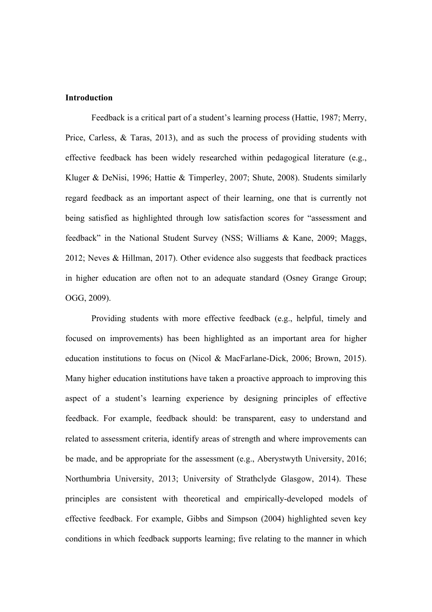# **Introduction**

Feedback is a critical part of a student's learning process (Hattie, 1987; Merry, Price, Carless, & Taras, 2013), and as such the process of providing students with effective feedback has been widely researched within pedagogical literature (e.g., Kluger & DeNisi, 1996; Hattie & Timperley, 2007; Shute, 2008). Students similarly regard feedback as an important aspect of their learning, one that is currently not being satisfied as highlighted through low satisfaction scores for "assessment and feedback" in the National Student Survey (NSS; Williams & Kane, 2009; Maggs, 2012; Neves & Hillman, 2017). Other evidence also suggests that feedback practices in higher education are often not to an adequate standard (Osney Grange Group; OGG, 2009).

Providing students with more effective feedback (e.g., helpful, timely and focused on improvements) has been highlighted as an important area for higher education institutions to focus on (Nicol & MacFarlane-Dick, 2006; Brown, 2015). Many higher education institutions have taken a proactive approach to improving this aspect of a student's learning experience by designing principles of effective feedback. For example, feedback should: be transparent, easy to understand and related to assessment criteria, identify areas of strength and where improvements can be made, and be appropriate for the assessment (e.g., Aberystwyth University, 2016; Northumbria University, 2013; University of Strathclyde Glasgow, 2014). These principles are consistent with theoretical and empirically-developed models of effective feedback. For example, Gibbs and Simpson (2004) highlighted seven key conditions in which feedback supports learning; five relating to the manner in which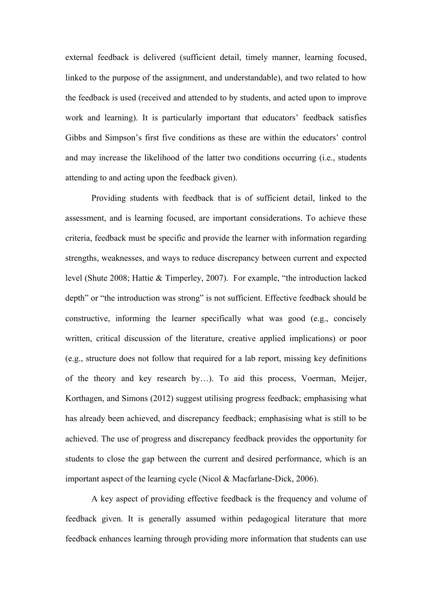external feedback is delivered (sufficient detail, timely manner, learning focused, linked to the purpose of the assignment, and understandable), and two related to how the feedback is used (received and attended to by students, and acted upon to improve work and learning). It is particularly important that educators' feedback satisfies Gibbs and Simpson's first five conditions as these are within the educators' control and may increase the likelihood of the latter two conditions occurring (i.e., students attending to and acting upon the feedback given).

Providing students with feedback that is of sufficient detail, linked to the assessment, and is learning focused, are important considerations. To achieve these criteria, feedback must be specific and provide the learner with information regarding strengths, weaknesses, and ways to reduce discrepancy between current and expected level (Shute 2008; Hattie & Timperley, 2007). For example, "the introduction lacked depth" or "the introduction was strong" is not sufficient. Effective feedback should be constructive, informing the learner specifically what was good (e.g., concisely written, critical discussion of the literature, creative applied implications) or poor (e.g., structure does not follow that required for a lab report, missing key definitions of the theory and key research by…). To aid this process, Voerman, Meijer, Korthagen, and Simons (2012) suggest utilising progress feedback; emphasising what has already been achieved, and discrepancy feedback; emphasising what is still to be achieved. The use of progress and discrepancy feedback provides the opportunity for students to close the gap between the current and desired performance, which is an important aspect of the learning cycle (Nicol & Macfarlane-Dick, 2006).

A key aspect of providing effective feedback is the frequency and volume of feedback given. It is generally assumed within pedagogical literature that more feedback enhances learning through providing more information that students can use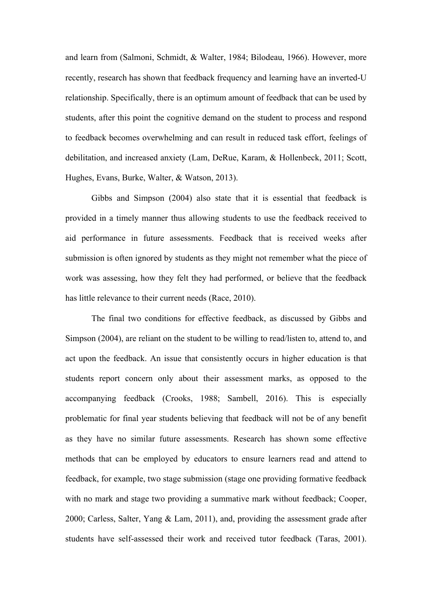and learn from (Salmoni, Schmidt, & Walter, 1984; Bilodeau, 1966). However, more recently, research has shown that feedback frequency and learning have an inverted-U relationship. Specifically, there is an optimum amount of feedback that can be used by students, after this point the cognitive demand on the student to process and respond to feedback becomes overwhelming and can result in reduced task effort, feelings of debilitation, and increased anxiety (Lam, DeRue, Karam, & Hollenbeck, 2011; Scott, Hughes, Evans, Burke, Walter, & Watson, 2013).

Gibbs and Simpson (2004) also state that it is essential that feedback is provided in a timely manner thus allowing students to use the feedback received to aid performance in future assessments. Feedback that is received weeks after submission is often ignored by students as they might not remember what the piece of work was assessing, how they felt they had performed, or believe that the feedback has little relevance to their current needs (Race, 2010).

The final two conditions for effective feedback, as discussed by Gibbs and Simpson (2004), are reliant on the student to be willing to read/listen to, attend to, and act upon the feedback. An issue that consistently occurs in higher education is that students report concern only about their assessment marks, as opposed to the accompanying feedback (Crooks, 1988; Sambell, 2016). This is especially problematic for final year students believing that feedback will not be of any benefit as they have no similar future assessments. Research has shown some effective methods that can be employed by educators to ensure learners read and attend to feedback, for example, two stage submission (stage one providing formative feedback with no mark and stage two providing a summative mark without feedback; Cooper, 2000; Carless, Salter, Yang & Lam, 2011), and, providing the assessment grade after students have self-assessed their work and received tutor feedback (Taras, 2001).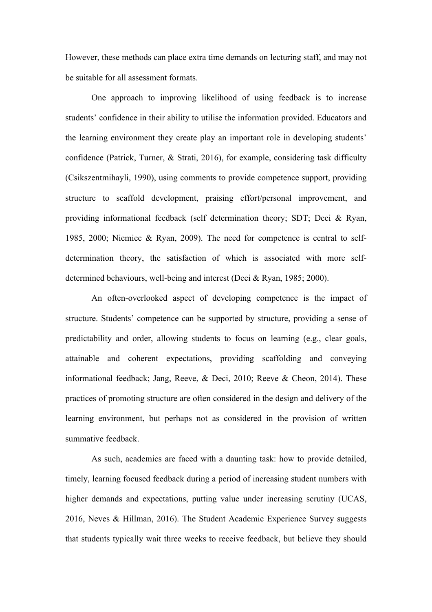However, these methods can place extra time demands on lecturing staff, and may not be suitable for all assessment formats.

One approach to improving likelihood of using feedback is to increase students' confidence in their ability to utilise the information provided. Educators and the learning environment they create play an important role in developing students' confidence (Patrick, Turner, & Strati, 2016), for example, considering task difficulty (Csikszentmihayli, 1990), using comments to provide competence support, providing structure to scaffold development, praising effort/personal improvement, and providing informational feedback (self determination theory; SDT; Deci & Ryan, 1985, 2000; Niemiec & Ryan, 2009). The need for competence is central to selfdetermination theory, the satisfaction of which is associated with more selfdetermined behaviours, well-being and interest (Deci & Ryan, 1985; 2000).

An often-overlooked aspect of developing competence is the impact of structure. Students' competence can be supported by structure, providing a sense of predictability and order, allowing students to focus on learning (e.g., clear goals, attainable and coherent expectations, providing scaffolding and conveying informational feedback; Jang, Reeve, & Deci, 2010; Reeve & Cheon, 2014). These practices of promoting structure are often considered in the design and delivery of the learning environment, but perhaps not as considered in the provision of written summative feedback.

As such, academics are faced with a daunting task: how to provide detailed, timely, learning focused feedback during a period of increasing student numbers with higher demands and expectations, putting value under increasing scrutiny (UCAS, 2016, Neves & Hillman, 2016). The Student Academic Experience Survey suggests that students typically wait three weeks to receive feedback, but believe they should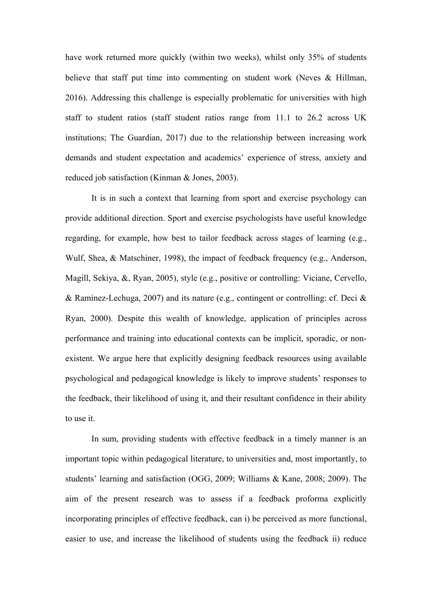have work returned more quickly (within two weeks), whilst only 35% of students believe that staff put time into commenting on student work (Neves & Hillman, 2016). Addressing this challenge is especially problematic for universities with high staff to student ratios (staff student ratios range from 11.1 to 26.2 across UK institutions; The Guardian, 2017) due to the relationship between increasing work demands and student expectation and academics' experience of stress, anxiety and reduced job satisfaction (Kinman & Jones, 2003).

It is in such a context that learning from sport and exercise psychology can provide additional direction. Sport and exercise psychologists have useful knowledge regarding, for example, how best to tailor feedback across stages of learning (e.g., Wulf, Shea, & Matschiner, 1998), the impact of feedback frequency (e.g., Anderson, Magill, Sekiya, &, Ryan, 2005), style (e.g., positive or controlling: Viciane, Cervello, & Raminez-Lechuga, 2007) and its nature (e.g., contingent or controlling: cf. Deci & Ryan, 2000). Despite this wealth of knowledge, application of principles across performance and training into educational contexts can be implicit, sporadic, or nonexistent. We argue here that explicitly designing feedback resources using available psychological and pedagogical knowledge is likely to improve students' responses to the feedback, their likelihood of using it, and their resultant confidence in their ability to use it.

In sum, providing students with effective feedback in a timely manner is an important topic within pedagogical literature, to universities and, most importantly, to students' learning and satisfaction (OGG, 2009; Williams & Kane, 2008; 2009). The aim of the present research was to assess if a feedback proforma explicitly incorporating principles of effective feedback, can i) be perceived as more functional, easier to use, and increase the likelihood of students using the feedback ii) reduce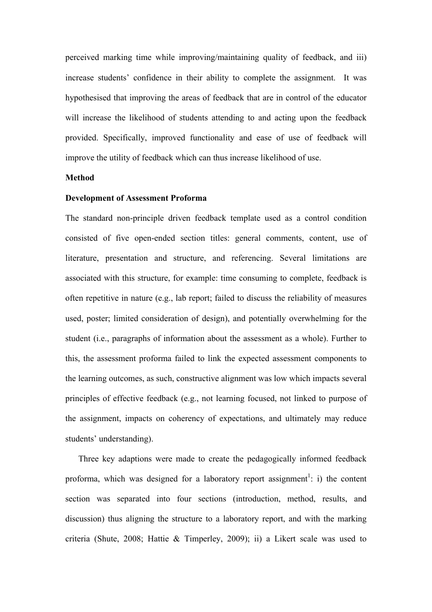perceived marking time while improving/maintaining quality of feedback, and iii) increase students' confidence in their ability to complete the assignment. It was hypothesised that improving the areas of feedback that are in control of the educator will increase the likelihood of students attending to and acting upon the feedback provided. Specifically, improved functionality and ease of use of feedback will improve the utility of feedback which can thus increase likelihood of use.

# **Method**

#### **Development of Assessment Proforma**

The standard non-principle driven feedback template used as a control condition consisted of five open-ended section titles: general comments, content, use of literature, presentation and structure, and referencing. Several limitations are associated with this structure, for example: time consuming to complete, feedback is often repetitive in nature (e.g., lab report; failed to discuss the reliability of measures used, poster; limited consideration of design), and potentially overwhelming for the student (i.e., paragraphs of information about the assessment as a whole). Further to this, the assessment proforma failed to link the expected assessment components to the learning outcomes, as such, constructive alignment was low which impacts several principles of effective feedback (e.g., not learning focused, not linked to purpose of the assignment, impacts on coherency of expectations, and ultimately may reduce students' understanding).

Three key adaptions were made to create the pedagogically informed feedback proforma, which was designed for a laboratory report assignment<sup>1</sup>: i) the content section was separated into four sections (introduction, method, results, and discussion) thus aligning the structure to a laboratory report, and with the marking criteria (Shute, 2008; Hattie & Timperley, 2009); ii) a Likert scale was used to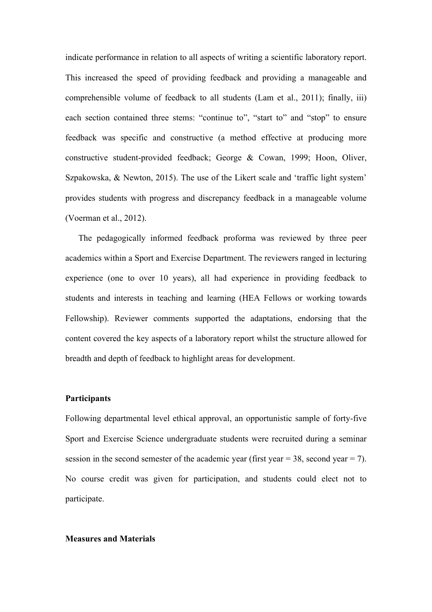indicate performance in relation to all aspects of writing a scientific laboratory report. This increased the speed of providing feedback and providing a manageable and comprehensible volume of feedback to all students (Lam et al., 2011); finally, iii) each section contained three stems: "continue to", "start to" and "stop" to ensure feedback was specific and constructive (a method effective at producing more constructive student-provided feedback; George & Cowan, 1999; Hoon, Oliver, Szpakowska, & Newton, 2015). The use of the Likert scale and 'traffic light system' provides students with progress and discrepancy feedback in a manageable volume (Voerman et al., 2012).

The pedagogically informed feedback proforma was reviewed by three peer academics within a Sport and Exercise Department. The reviewers ranged in lecturing experience (one to over 10 years), all had experience in providing feedback to students and interests in teaching and learning (HEA Fellows or working towards Fellowship). Reviewer comments supported the adaptations, endorsing that the content covered the key aspects of a laboratory report whilst the structure allowed for breadth and depth of feedback to highlight areas for development.

#### **Participants**

Following departmental level ethical approval, an opportunistic sample of forty-five Sport and Exercise Science undergraduate students were recruited during a seminar session in the second semester of the academic year (first year  $= 38$ , second year  $= 7$ ). No course credit was given for participation, and students could elect not to participate.

# **Measures and Materials**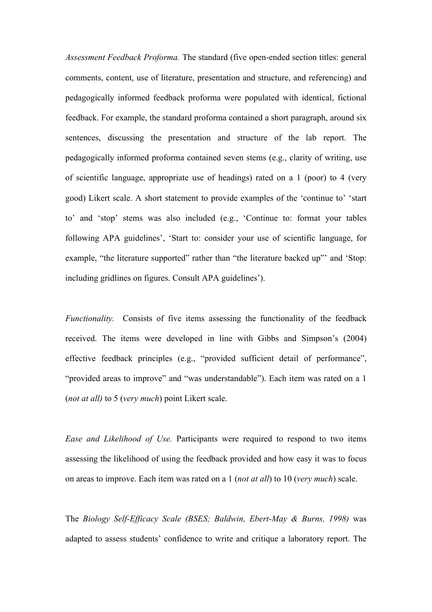*Assessment Feedback Proforma.* The standard (five open-ended section titles: general comments, content, use of literature, presentation and structure, and referencing) and pedagogically informed feedback proforma were populated with identical, fictional feedback. For example, the standard proforma contained a short paragraph, around six sentences, discussing the presentation and structure of the lab report. The pedagogically informed proforma contained seven stems (e.g., clarity of writing, use of scientific language, appropriate use of headings) rated on a 1 (poor) to 4 (very good) Likert scale. A short statement to provide examples of the 'continue to' 'start to' and 'stop' stems was also included (e.g., 'Continue to: format your tables following APA guidelines', 'Start to: consider your use of scientific language, for example, "the literature supported" rather than "the literature backed up" and 'Stop: including gridlines on figures. Consult APA guidelines').

*Functionality.* Consists of five items assessing the functionality of the feedback received. The items were developed in line with Gibbs and Simpson's (2004) effective feedback principles (e.g., "provided sufficient detail of performance", "provided areas to improve" and "was understandable"). Each item was rated on a 1 (*not at all)* to 5 (*very much*) point Likert scale.

*Ease and Likelihood of Use.* Participants were required to respond to two items assessing the likelihood of using the feedback provided and how easy it was to focus on areas to improve. Each item was rated on a 1 (*not at all*) to 10 (*very much*) scale.

The *Biology Self-Efficacy Scale (BSES; Baldwin, Ebert-May & Burns, 1998)* was adapted to assess students' confidence to write and critique a laboratory report. The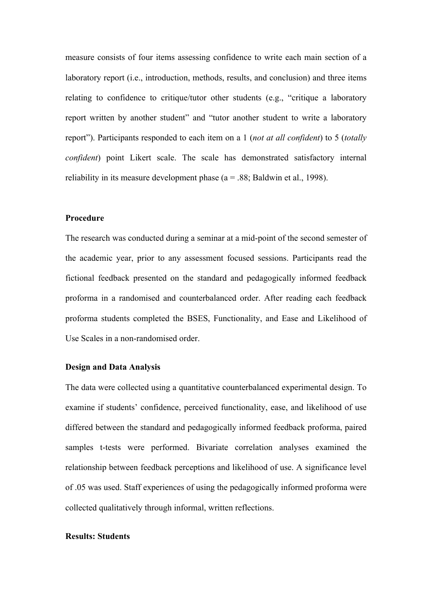measure consists of four items assessing confidence to write each main section of a laboratory report (i.e., introduction, methods, results, and conclusion) and three items relating to confidence to critique/tutor other students (e.g., "critique a laboratory report written by another student" and "tutor another student to write a laboratory report"). Participants responded to each item on a 1 (*not at all confident*) to 5 (*totally confident*) point Likert scale. The scale has demonstrated satisfactory internal reliability in its measure development phase ( $a = 0.88$ ; Baldwin et al., 1998).

# **Procedure**

The research was conducted during a seminar at a mid-point of the second semester of the academic year, prior to any assessment focused sessions. Participants read the fictional feedback presented on the standard and pedagogically informed feedback proforma in a randomised and counterbalanced order. After reading each feedback proforma students completed the BSES, Functionality, and Ease and Likelihood of Use Scales in a non-randomised order.

#### **Design and Data Analysis**

The data were collected using a quantitative counterbalanced experimental design. To examine if students' confidence, perceived functionality, ease, and likelihood of use differed between the standard and pedagogically informed feedback proforma, paired samples t-tests were performed. Bivariate correlation analyses examined the relationship between feedback perceptions and likelihood of use. A significance level of .05 was used. Staff experiences of using the pedagogically informed proforma were collected qualitatively through informal, written reflections.

#### **Results: Students**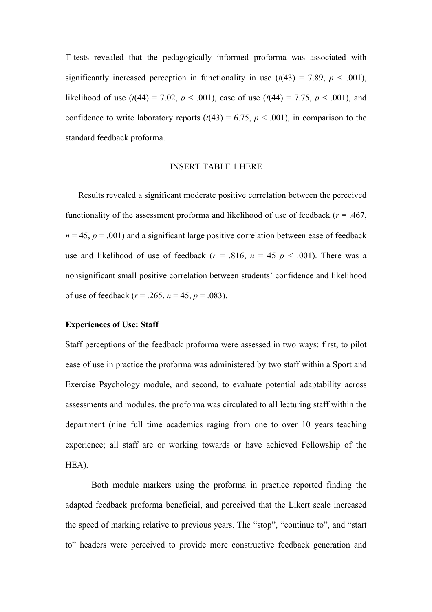T-tests revealed that the pedagogically informed proforma was associated with significantly increased perception in functionality in use  $(t(43) = 7.89, p < .001)$ , likelihood of use  $(t(44) = 7.02, p < .001)$ , ease of use  $(t(44) = 7.75, p < .001)$ , and confidence to write laboratory reports  $(t(43) = 6.75, p < .001)$ , in comparison to the standard feedback proforma.

# INSERT TABLE 1 HERE

Results revealed a significant moderate positive correlation between the perceived functionality of the assessment proforma and likelihood of use of feedback ( $r = .467$ ,  $n = 45$ ,  $p = .001$ ) and a significant large positive correlation between ease of feedback use and likelihood of use of feedback ( $r = .816$ ,  $n = 45$   $p < .001$ ). There was a nonsignificant small positive correlation between students' confidence and likelihood of use of feedback ( $r = .265$ ,  $n = 45$ ,  $p = .083$ ).

# **Experiences of Use: Staff**

Staff perceptions of the feedback proforma were assessed in two ways: first, to pilot ease of use in practice the proforma was administered by two staff within a Sport and Exercise Psychology module, and second, to evaluate potential adaptability across assessments and modules, the proforma was circulated to all lecturing staff within the department (nine full time academics raging from one to over 10 years teaching experience; all staff are or working towards or have achieved Fellowship of the HEA).

 Both module markers using the proforma in practice reported finding the adapted feedback proforma beneficial, and perceived that the Likert scale increased the speed of marking relative to previous years. The "stop", "continue to", and "start to" headers were perceived to provide more constructive feedback generation and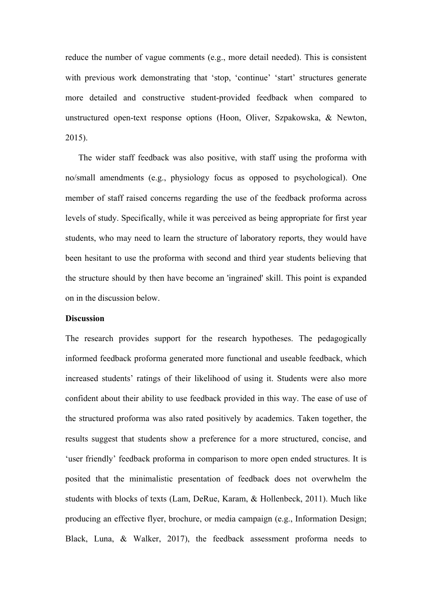reduce the number of vague comments (e.g., more detail needed). This is consistent with previous work demonstrating that 'stop, 'continue' 'start' structures generate more detailed and constructive student-provided feedback when compared to unstructured open-text response options (Hoon, Oliver, Szpakowska, & Newton, 2015).

The wider staff feedback was also positive, with staff using the proforma with no/small amendments (e.g., physiology focus as opposed to psychological). One member of staff raised concerns regarding the use of the feedback proforma across levels of study. Specifically, while it was perceived as being appropriate for first year students, who may need to learn the structure of laboratory reports, they would have been hesitant to use the proforma with second and third year students believing that the structure should by then have become an 'ingrained' skill. This point is expanded on in the discussion below.

#### **Discussion**

The research provides support for the research hypotheses. The pedagogically informed feedback proforma generated more functional and useable feedback, which increased students' ratings of their likelihood of using it. Students were also more confident about their ability to use feedback provided in this way. The ease of use of the structured proforma was also rated positively by academics. Taken together, the results suggest that students show a preference for a more structured, concise, and 'user friendly' feedback proforma in comparison to more open ended structures. It is posited that the minimalistic presentation of feedback does not overwhelm the students with blocks of texts (Lam, DeRue, Karam, & Hollenbeck, 2011). Much like producing an effective flyer, brochure, or media campaign (e.g., Information Design; Black, Luna, & Walker, 2017), the feedback assessment proforma needs to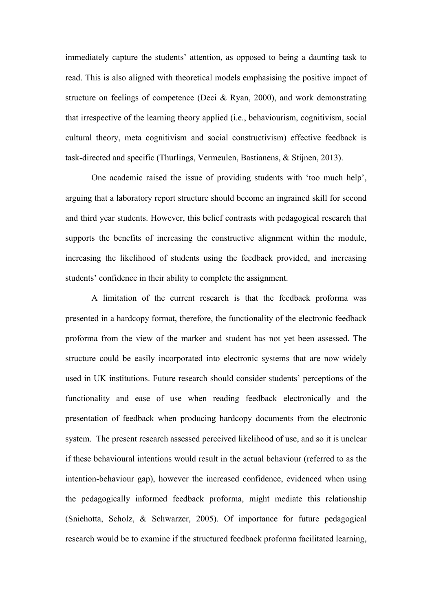immediately capture the students' attention, as opposed to being a daunting task to read. This is also aligned with theoretical models emphasising the positive impact of structure on feelings of competence (Deci & Ryan, 2000), and work demonstrating that irrespective of the learning theory applied (i.e., behaviourism, cognitivism, social cultural theory, meta cognitivism and social constructivism) effective feedback is task-directed and specific (Thurlings, Vermeulen, Bastianens, & Stijnen, 2013).

One academic raised the issue of providing students with 'too much help', arguing that a laboratory report structure should become an ingrained skill for second and third year students. However, this belief contrasts with pedagogical research that supports the benefits of increasing the constructive alignment within the module, increasing the likelihood of students using the feedback provided, and increasing students' confidence in their ability to complete the assignment.

A limitation of the current research is that the feedback proforma was presented in a hardcopy format, therefore, the functionality of the electronic feedback proforma from the view of the marker and student has not yet been assessed. The structure could be easily incorporated into electronic systems that are now widely used in UK institutions. Future research should consider students' perceptions of the functionality and ease of use when reading feedback electronically and the presentation of feedback when producing hardcopy documents from the electronic system. The present research assessed perceived likelihood of use, and so it is unclear if these behavioural intentions would result in the actual behaviour (referred to as the intention-behaviour gap), however the increased confidence, evidenced when using the pedagogically informed feedback proforma, might mediate this relationship (Sniehotta, Scholz, & Schwarzer, 2005). Of importance for future pedagogical research would be to examine if the structured feedback proforma facilitated learning,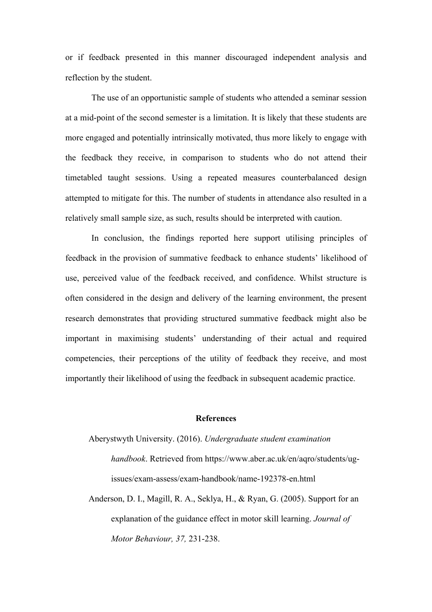or if feedback presented in this manner discouraged independent analysis and reflection by the student.

The use of an opportunistic sample of students who attended a seminar session at a mid-point of the second semester is a limitation. It is likely that these students are more engaged and potentially intrinsically motivated, thus more likely to engage with the feedback they receive, in comparison to students who do not attend their timetabled taught sessions. Using a repeated measures counterbalanced design attempted to mitigate for this. The number of students in attendance also resulted in a relatively small sample size, as such, results should be interpreted with caution.

In conclusion, the findings reported here support utilising principles of feedback in the provision of summative feedback to enhance students' likelihood of use, perceived value of the feedback received, and confidence. Whilst structure is often considered in the design and delivery of the learning environment, the present research demonstrates that providing structured summative feedback might also be important in maximising students' understanding of their actual and required competencies, their perceptions of the utility of feedback they receive, and most importantly their likelihood of using the feedback in subsequent academic practice.

# **References**

Aberystwyth University. (2016). *Undergraduate student examination handbook*. Retrieved from https://www.aber.ac.uk/en/aqro/students/ugissues/exam-assess/exam-handbook/name-192378-en.html

Anderson, D. I., Magill, R. A., Seklya, H., & Ryan, G. (2005). Support for an explanation of the guidance effect in motor skill learning. *Journal of Motor Behaviour, 37,* 231-238.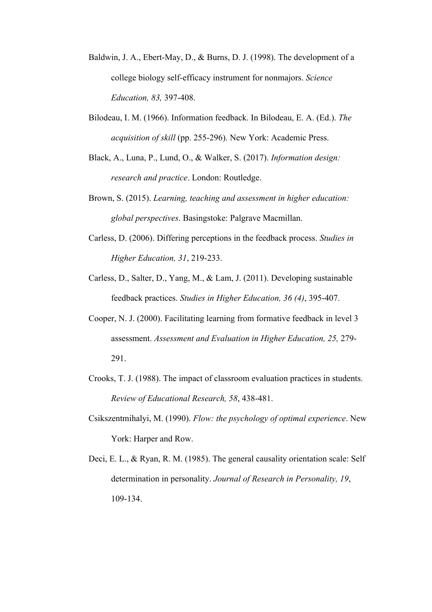- Baldwin, J. A., Ebert-May, D., & Burns, D. J. (1998). The development of a college biology self-efficacy instrument for nonmajors. *Science Education, 83,* 397-408.
- Bilodeau, I. M. (1966). Information feedback. In Bilodeau, E. A. (Ed.). *The acquisition of skill* (pp. 255-296). New York: Academic Press.
- Black, A., Luna, P., Lund, O., & Walker, S. (2017). *Information design: research and practice*. London: Routledge.
- Brown, S. (2015). *Learning, teaching and assessment in higher education: global perspectives*. Basingstoke: Palgrave Macmillan.
- Carless, D. (2006). Differing perceptions in the feedback process. *Studies in Higher Education, 31*, 219-233.
- Carless, D., Salter, D., Yang, M., & Lam, J. (2011). Developing sustainable feedback practices. *Studies in Higher Education, 36 (4)*, 395-407.
- Cooper, N. J. (2000). Facilitating learning from formative feedback in level 3 assessment. *Assessment and Evaluation in Higher Education, 25,* 279- 291.
- Crooks, T. J. (1988). The impact of classroom evaluation practices in students. *Review of Educational Research, 58*, 438-481.
- Csikszentmihalyi, M. (1990). *Flow: the psychology of optimal experience*. New York: Harper and Row.
- Deci, E. L., & Ryan, R. M. (1985). The general causality orientation scale: Self determination in personality. *Journal of Research in Personality, 19*, 109-134.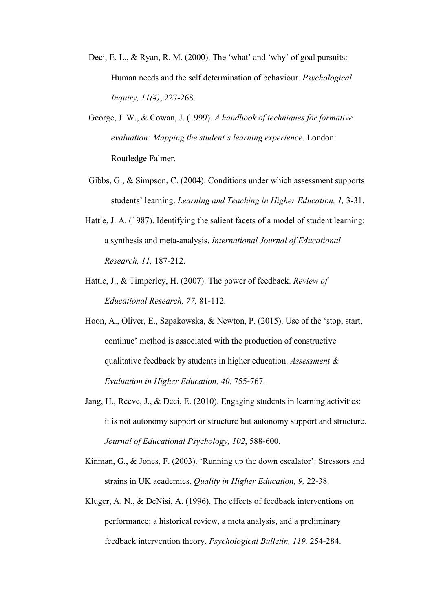- Deci, E. L., & Ryan, R. M. (2000). The 'what' and 'why' of goal pursuits: Human needs and the self determination of behaviour. *Psychological Inquiry, 11(4)*, 227-268.
- George, J. W., & Cowan, J. (1999). *A handbook of techniques for formative evaluation: Mapping the student's learning experience*. London: Routledge Falmer.
- Gibbs, G., & Simpson, C. (2004). Conditions under which assessment supports students' learning. *Learning and Teaching in Higher Education, 1,* 3-31.
- Hattie, J. A. (1987). Identifying the salient facets of a model of student learning: a synthesis and meta-analysis. *International Journal of Educational Research, 11,* 187-212.
- Hattie, J., & Timperley, H. (2007). The power of feedback. *Review of Educational Research, 77,* 81-112.
- Hoon, A., Oliver, E., Szpakowska, & Newton, P. (2015). Use of the 'stop, start, continue' method is associated with the production of constructive qualitative feedback by students in higher education. *Assessment & Evaluation in Higher Education, 40,* 755-767.
- Jang, H., Reeve, J., & Deci, E. (2010). Engaging students in learning activities: it is not autonomy support or structure but autonomy support and structure. *Journal of Educational Psychology, 102*, 588-600.
- Kinman, G., & Jones, F. (2003). 'Running up the down escalator': Stressors and strains in UK academics. *Quality in Higher Education, 9,* 22-38.
- Kluger, A. N., & DeNisi, A. (1996). The effects of feedback interventions on performance: a historical review, a meta analysis, and a preliminary feedback intervention theory. *Psychological Bulletin, 119,* 254-284.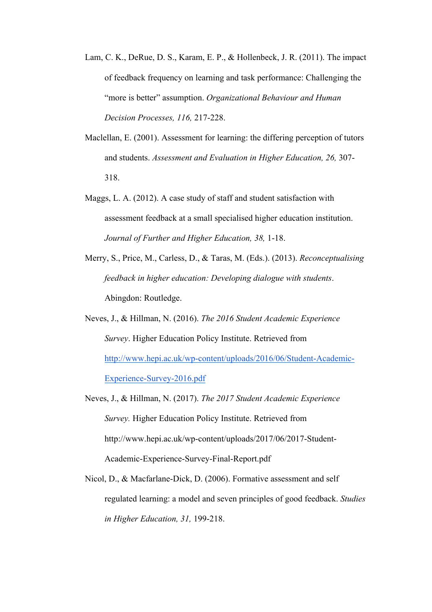- Lam, C. K., DeRue, D. S., Karam, E. P., & Hollenbeck, J. R. (2011). The impact of feedback frequency on learning and task performance: Challenging the "more is better" assumption. *Organizational Behaviour and Human Decision Processes, 116,* 217-228.
- Maclellan, E. (2001). Assessment for learning: the differing perception of tutors and students. *Assessment and Evaluation in Higher Education, 26,* 307- 318.
- Maggs, L. A. (2012). A case study of staff and student satisfaction with assessment feedback at a small specialised higher education institution. *Journal of Further and Higher Education, 38,* 1-18.
- Merry, S., Price, M., Carless, D., & Taras, M. (Eds.). (2013). *Reconceptualising feedback in higher education: Developing dialogue with students*. Abingdon: Routledge.
- Neves, J., & Hillman, N. (2016). *The 2016 Student Academic Experience Survey*. Higher Education Policy Institute. Retrieved from http://www.hepi.ac.uk/wp-content/uploads/2016/06/Student-Academic-Experience-Survey-2016.pdf
- Neves, J., & Hillman, N. (2017). *The 2017 Student Academic Experience Survey.* Higher Education Policy Institute. Retrieved from http://www.hepi.ac.uk/wp-content/uploads/2017/06/2017-Student-Academic-Experience-Survey-Final-Report.pdf
- Nicol, D., & Macfarlane-Dick, D. (2006). Formative assessment and self regulated learning: a model and seven principles of good feedback. *Studies in Higher Education, 31,* 199-218.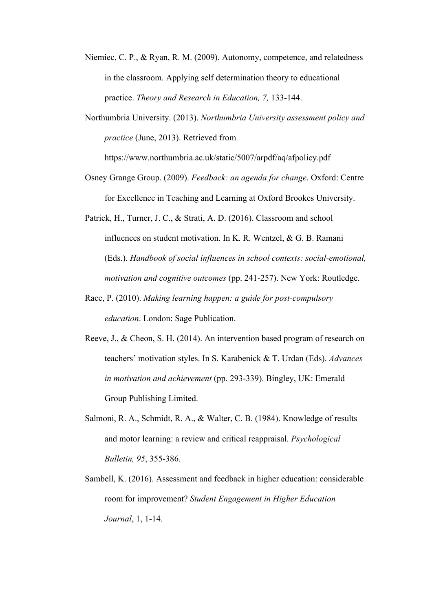- Niemiec, C. P., & Ryan, R. M. (2009). Autonomy, competence, and relatedness in the classroom. Applying self determination theory to educational practice. *Theory and Research in Education, 7,* 133-144.
- Northumbria University. (2013). *Northumbria University assessment policy and practice* (June, 2013). Retrieved from

https://www.northumbria.ac.uk/static/5007/arpdf/aq/afpolicy.pdf

- Osney Grange Group. (2009). *Feedback: an agenda for change*. Oxford: Centre for Excellence in Teaching and Learning at Oxford Brookes University.
- Patrick, H., Turner, J. C., & Strati, A. D. (2016). Classroom and school influences on student motivation. In K. R. Wentzel, & G. B. Ramani (Eds.). *Handbook of social influences in school contexts: social-emotional, motivation and cognitive outcomes* (pp. 241-257). New York: Routledge.
- Race, P. (2010). *Making learning happen: a guide for post-compulsory education*. London: Sage Publication.
- Reeve, J., & Cheon, S. H. (2014). An intervention based program of research on teachers' motivation styles. In S. Karabenick & T. Urdan (Eds). *Advances in motivation and achievement* (pp. 293-339). Bingley, UK: Emerald Group Publishing Limited.
- Salmoni, R. A., Schmidt, R. A., & Walter, C. B. (1984). Knowledge of results and motor learning: a review and critical reappraisal. *Psychological Bulletin, 95*, 355-386.
- Sambell, K. (2016). Assessment and feedback in higher education: considerable room for improvement? *Student Engagement in Higher Education Journal*, 1, 1-14.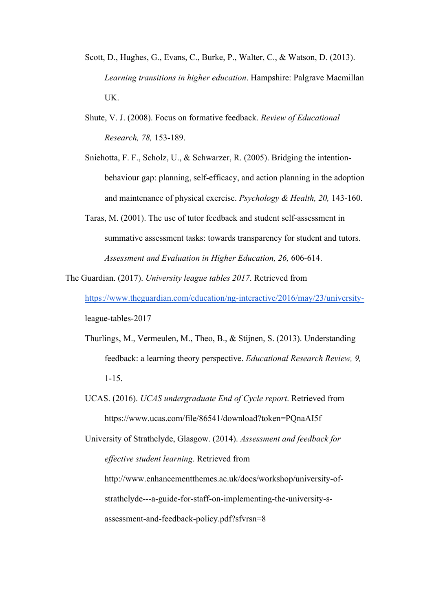- Scott, D., Hughes, G., Evans, C., Burke, P., Walter, C., & Watson, D. (2013). *Learning transitions in higher education*. Hampshire: Palgrave Macmillan UK.
- Shute, V. J. (2008). Focus on formative feedback. *Review of Educational Research, 78,* 153-189.
- Sniehotta, F. F., Scholz, U., & Schwarzer, R. (2005). Bridging the intentionbehaviour gap: planning, self-efficacy, and action planning in the adoption and maintenance of physical exercise. *Psychology & Health, 20,* 143-160.
- Taras, M. (2001). The use of tutor feedback and student self-assessment in summative assessment tasks: towards transparency for student and tutors. *Assessment and Evaluation in Higher Education, 26,* 606-614.

The Guardian. (2017). *University league tables 2017*. Retrieved from https://www.theguardian.com/education/ng-interactive/2016/may/23/universityleague-tables-2017

- Thurlings, M., Vermeulen, M., Theo, B., & Stijnen, S. (2013). Understanding feedback: a learning theory perspective. *Educational Research Review, 9,* 1-15.
- UCAS. (2016). *UCAS undergraduate End of Cycle report*. Retrieved from https://www.ucas.com/file/86541/download?token=PQnaAI5f

University of Strathclyde, Glasgow. (2014). *Assessment and feedback for effective student learning*. Retrieved from http://www.enhancementthemes.ac.uk/docs/workshop/university-ofstrathclyde---a-guide-for-staff-on-implementing-the-university-sassessment-and-feedback-policy.pdf?sfvrsn=8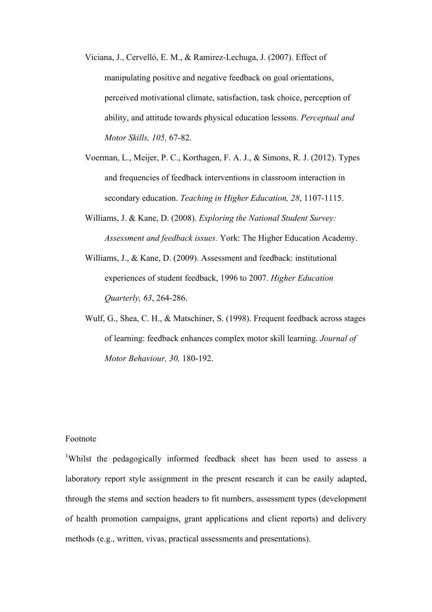- Viciana, J., Cervelló, E. M., & Ramirez-Lechuga, J. (2007). Effect of manipulating positive and negative feedback on goal orientations, perceived motivational climate, satisfaction, task choice, perception of ability, and attitude towards physical education lessons. *Perceptual and Motor Skills, 105,* 67-82.
- Voerman, L., Meijer, P. C., Korthagen, F. A. J., & Simons, R. J. (2012). Types and frequencies of feedback interventions in classroom interaction in secondary education. *Teaching in Higher Education, 28*, 1107-1115.
- Williams, J. & Kane, D. (2008). *Exploring the National Student Survey: Assessment and feedback issues.* York: The Higher Education Academy.
- Williams, J., & Kane, D. (2009). Assessment and feedback: institutional experiences of student feedback, 1996 to 2007. *Higher Education Quarterly, 63*, 264-286.
- Wulf, G., Shea, C. H., & Matschiner, S. (1998). Frequent feedback across stages of learning: feedback enhances complex motor skill learning. *Journal of Motor Behaviour, 30,* 180-192.

# Footnote

<sup>1</sup>Whilst the pedagogically informed feedback sheet has been used to assess a laboratory report style assignment in the present research it can be easily adapted, through the stems and section headers to fit numbers, assessment types (development of health promotion campaigns, grant applications and client reports) and delivery methods (e.g., written, vivas, practical assessments and presentations).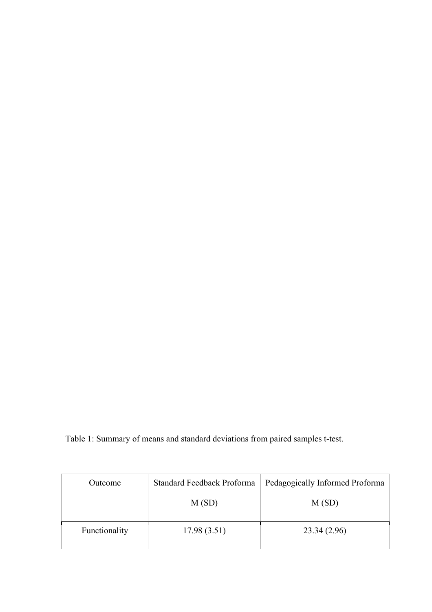Table 1: Summary of means and standard deviations from paired samples t-test.

| Outcome       | Standard Feedback Proforma | Pedagogically Informed Proforma |  |
|---------------|----------------------------|---------------------------------|--|
|               | M(SD)                      | M(SD)                           |  |
|               |                            |                                 |  |
| Functionality | 17.98(3.51)                | 23.34 (2.96)                    |  |
|               |                            |                                 |  |